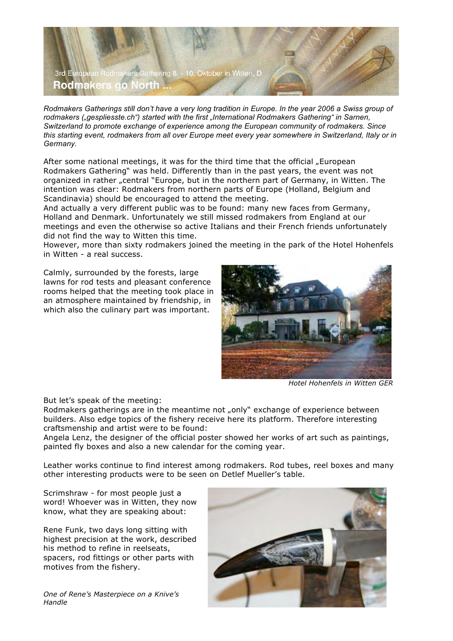

*Rodmakers Gatherings still don't have a very long tradition in Europe. In the year 2006 a Swiss group of rodmakers ("gespliesste.ch") started with the first "International Rodmakers Gathering" in Sarnen, Switzerland to promote exchange of experience among the European community of rodmakers. Since this starting event, rodmakers from all over Europe meet every year somewhere in Switzerland, Italy or in Germany.*

After some national meetings, it was for the third time that the official "European Rodmakers Gathering" was held. Differently than in the past years, the event was not organized in rather "central "Europe, but in the northern part of Germany, in Witten. The intention was clear: Rodmakers from northern parts of Europe (Holland, Belgium and Scandinavia) should be encouraged to attend the meeting.

And actually a very different public was to be found: many new faces from Germany, Holland and Denmark. Unfortunately we still missed rodmakers from England at our meetings and even the otherwise so active Italians and their French friends unfortunately did not find the way to Witten this time.

However, more than sixty rodmakers joined the meeting in the park of the Hotel Hohenfels in Witten - a real success.

Calmly, surrounded by the forests, large lawns for rod tests and pleasant conference rooms helped that the meeting took place in an atmosphere maintained by friendship, in which also the culinary part was important.



But let's speak of the meeting:

Rodmakers gatherings are in the meantime not "only" exchange of experience between builders. Also edge topics of the fishery receive here its platform. Therefore interesting craftsmenship and artist were to be found:

Angela Lenz, the designer of the official poster showed her works of art such as paintings, painted fly boxes and also a new calendar for the coming year.

Leather works continue to find interest among rodmakers. Rod tubes, reel boxes and many other interesting products were to be seen on Detlef Mueller's table.

Scrimshraw - for most people just a word! Whoever was in Witten, they now know, what they are speaking about:

Rene Funk, two days long sitting with highest precision at the work, described his method to refine in reelseats, spacers, rod fittings or other parts with motives from the fishery.



*One of Rene's Masterpiece on a Knive's Handle*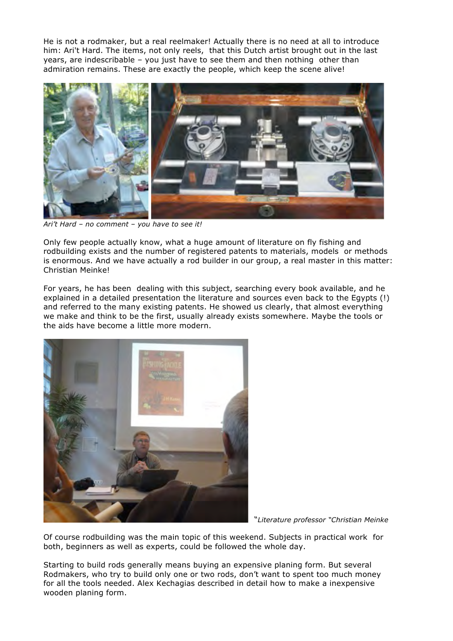He is not a rodmaker, but a real reelmaker! Actually there is no need at all to introduce him: Ari't Hard. The items, not only reels, that this Dutch artist brought out in the last years, are indescribable – you just have to see them and then nothing other than admiration remains. These are exactly the people, which keep the scene alive!



*Ari't Hard – no comment – you have to see it!*

Only few people actually know, what a huge amount of literature on fly fishing and rodbuilding exists and the number of registered patents to materials, models or methods is enormous. And we have actually a rod builder in our group, a real master in this matter: Christian Meinke!

For years, he has been dealing with this subject, searching every book available, and he explained in a detailed presentation the literature and sources even back to the Egypts (!) and referred to the many existing patents. He showed us clearly, that almost everything we make and think to be the first, usually already exists somewhere. Maybe the tools or the aids have become a little more modern.



"*Literature professor "Christian Meinke* 

Of course rodbuilding was the main topic of this weekend. Subjects in practical work for both, beginners as well as experts, could be followed the whole day.

Starting to build rods generally means buying an expensive planing form. But several Rodmakers, who try to build only one or two rods, don't want to spent too much money for all the tools needed. Alex Kechagias described in detail how to make a inexpensive wooden planing form.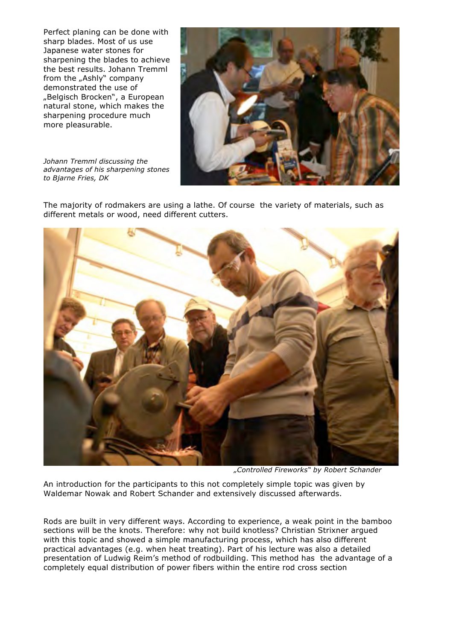Perfect planing can be done with sharp blades. Most of us use Japanese water stones for sharpening the blades to achieve the best results. Johann Tremml from the "Ashly" company demonstrated the use of "Belgisch Brocken", a European natural stone, which makes the sharpening procedure much more pleasurable.





The majority of rodmakers are using a lathe. Of course the variety of materials, such as different metals or wood, need different cutters.



 *"Controlled Fireworks" by Robert Schander* 

An introduction for the participants to this not completely simple topic was given by Waldemar Nowak and Robert Schander and extensively discussed afterwards.

Rods are built in very different ways. According to experience, a weak point in the bamboo sections will be the knots. Therefore: why not build knotless? Christian Strixner argued with this topic and showed a simple manufacturing process, which has also different practical advantages (e.g. when heat treating). Part of his lecture was also a detailed presentation of Ludwig Reim's method of rodbuilding. This method has the advantage of a completely equal distribution of power fibers within the entire rod cross section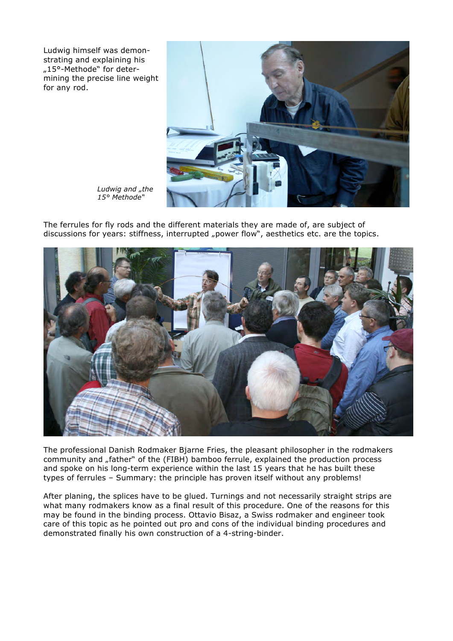Ludwig himself was demonstrating and explaining his "15°-Methode" for determining the precise line weight for any rod.



Ludwig and "the *15° Methode"*

The ferrules for fly rods and the different materials they are made of, are subject of discussions for years: stiffness, interrupted "power flow", aesthetics etc. are the topics.



The professional Danish Rodmaker Bjarne Fries, the pleasant philosopher in the rodmakers community and "father" of the (FIBH) bamboo ferrule, explained the production process and spoke on his long-term experience within the last 15 years that he has built these types of ferrules – Summary: the principle has proven itself without any problems!

After planing, the splices have to be glued. Turnings and not necessarily straight strips are what many rodmakers know as a final result of this procedure. One of the reasons for this may be found in the binding process. Ottavio Bisaz, a Swiss rodmaker and engineer took care of this topic as he pointed out pro and cons of the individual binding procedures and demonstrated finally his own construction of a 4-string-binder.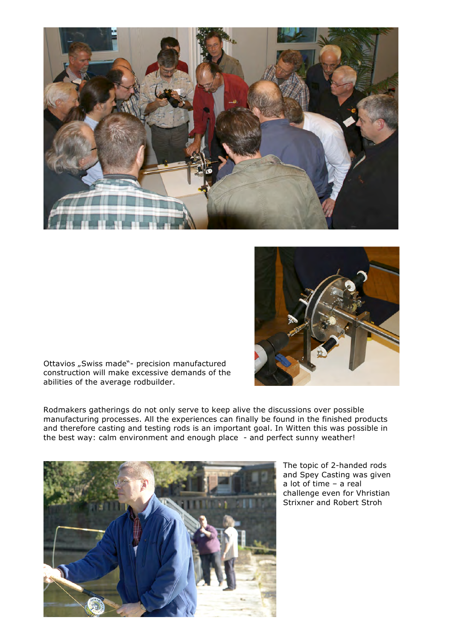



Ottavios "Swiss made"- precision manufactured construction will make excessive demands of the abilities of the average rodbuilder.

Rodmakers gatherings do not only serve to keep alive the discussions over possible manufacturing processes. All the experiences can finally be found in the finished products and therefore casting and testing rods is an important goal. In Witten this was possible in the best way: calm environment and enough place - and perfect sunny weather!



The topic of 2-handed rods and Spey Casting was given a lot of time – a real challenge even for Vhristian Strixner and Robert Stroh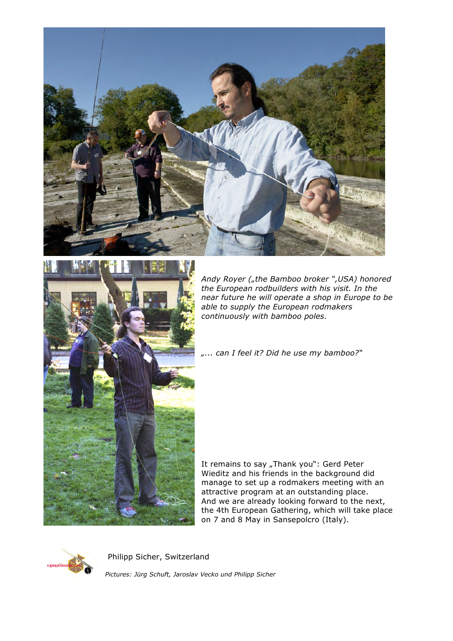



*Andy Royer ("the Bamboo broker ",USA) honored the European rodbuilders with his visit. In the near future he will operate a shop in Europe to be able to supply the European rodmakers continuously with bamboo poles.*

*"... can I feel it? Did he use my bamboo?"*

It remains to say "Thank you": Gerd Peter Wieditz and his friends in the background did manage to set up a rodmakers meeting with an attractive program at an outstanding place. And we are already looking forward to the next, the 4th European Gathering, which will take place on 7 and 8 May in Sansepolcro (Italy).



Philipp Sicher, Switzerland

*Pictures: Jürg Schuft, Jaroslav Vecko und Philipp Sicher*